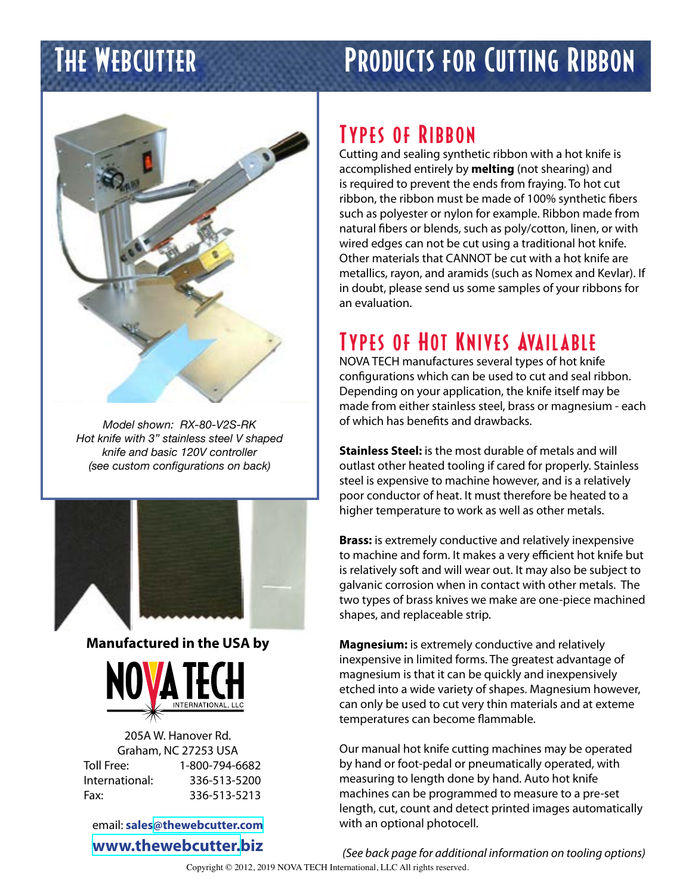# THE WEBCUTTER PRODUCTS FOR CUTTING RIBBON



*Model shown: RX-80-V2S-RK Hot knife with 3" stainless steel V shaped knife and basic 120V controller (see custom configurations on back)*



**Manufactured in the USA by**



205A W. Hanover Rd. Graham, NC 27253 USA Toll Free: 1-800-794-6682 International: 336-513-5200 Fax: 336-513-5213

email: **sales[@thewebcutter.com](mailto:sales%40thewebcutter.com?subject=Information%20request%20via%20PDF) [www.thewebcutter.b](http://www.thewebcutter.biz)iz**

## Types of Ribbon

Cutting and sealing synthetic ribbon with a hot knife is accomplished entirely by **melting** (not shearing) and is required to prevent the ends from fraying. To hot cut ribbon, the ribbon must be made of 100% synthetic fibers such as polyester or nylon for example. Ribbon made from natural fibers or blends, such as poly/cotton, linen, or with wired edges can not be cut using a traditional hot knife. Other materials that CANNOT be cut with a hot knife are metallics, rayon, and aramids (such as Nomex and Kevlar). If in doubt, please send us some samples of your ribbons for an evaluation.

# **TYPES OF HOT KNIVES AVAILABLE**

NOVA TECH manufactures several types of hot knife configurations which can be used to cut and seal ribbon. Depending on your application, the knife itself may be made from either stainless steel, brass or magnesium - each of which has benefits and drawbacks.

**Stainless Steel:** is the most durable of metals and will outlast other heated tooling if cared for properly. Stainless steel is expensive to machine however, and is a relatively poor conductor of heat. It must therefore be heated to a higher temperature to work as well as other metals.

**Brass:** is extremely conductive and relatively inexpensive to machine and form. It makes a very efficient hot knife but is relatively soft and will wear out. It may also be subject to galvanic corrosion when in contact with other metals. The two types of brass knives we make are one-piece machined shapes, and replaceable strip.

**Magnesium:** is extremely conductive and relatively inexpensive in limited forms. The greatest advantage of magnesium is that it can be quickly and inexpensively etched into a wide variety of shapes. Magnesium however, can only be used to cut very thin materials and at exteme temperatures can become flammable.

Our manual hot knife cutting machines may be operated by hand or foot-pedal or pneumatically operated, with measuring to length done by hand. Auto hot knife machines can be programmed to measure to a pre-set length, cut, count and detect printed images automatically with an optional photocell.

*(See back page for additional information on tooling options)* Copyright © 2012, 2019 NOVA TECH International, LLC All rights reserved.